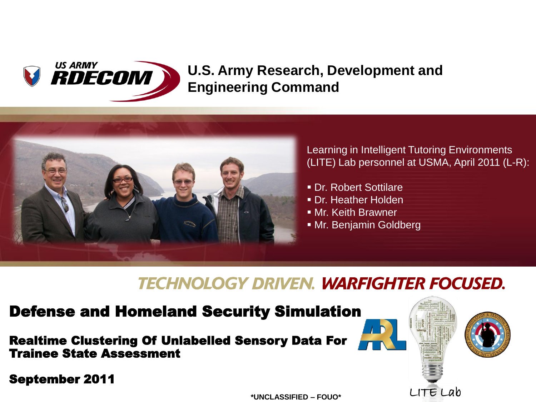

#### **U.S. Army Research, Development and Engineering Command**



Learning in Intelligent Tutoring Environments (LITE) Lab personnel at USMA, April 2011 (L-R):

LITE Lab

- Dr. Robert Sottilare
- **Dr. Heather Holden**
- Mr. Keith Brawner
- Mr. Benjamin Goldberg

#### **TECHNOLOGY DRIVEN. WARFIGHTER FOCUSED.**

#### Defense and Homeland Security Simulation

#### Realtime Clustering Of Unlabelled Sensory Data For Trainee State Assessment

September 2011

**\*UNCLASSIFIED – FOUO\***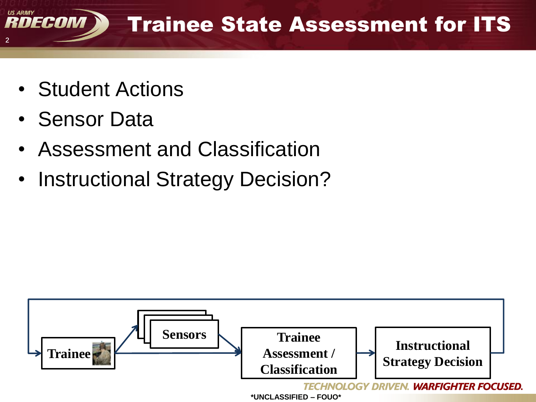

- Student Actions
- Sensor Data
- Assessment and Classification
- Instructional Strategy Decision?

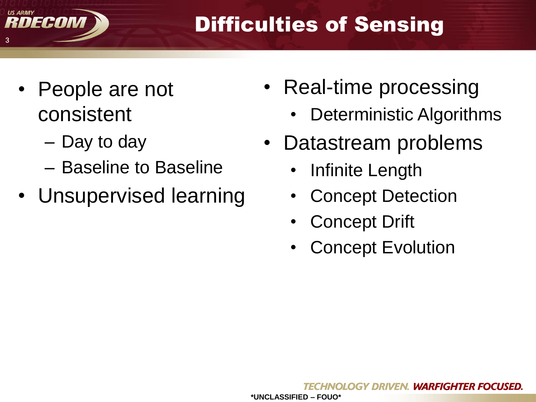

# Difficulties of Sensing

- People are not consistent
	- Day to day
	- Baseline to Baseline
- Unsupervised learning
- Real-time processing
	- Deterministic Algorithms
- Datastream problems
	- Infinite Length
	- **Concept Detection**
	- **Concept Drift**
	- **Concept Evolution**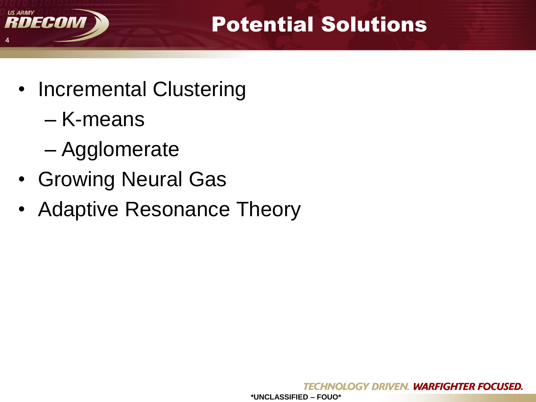

Potential Solutions

- Incremental Clustering
	- K-means
	- Agglomerate
- Growing Neural Gas
- Adaptive Resonance Theory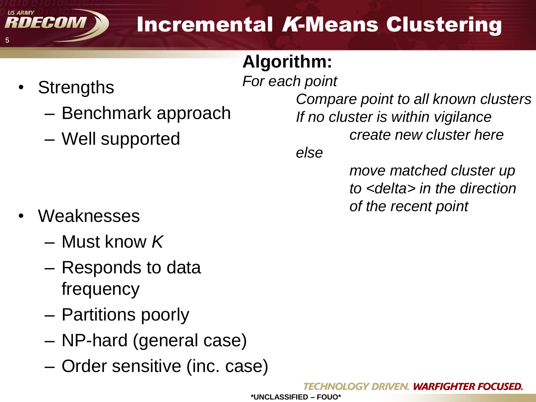

## **Algorithm:**

*For each point*

**Strengths** 

DECOM

5

**US ARMY** 

- Benchmark approach
- Well supported

- Weaknesses
	- Must know *K*
	- Responds to data frequency
	- Partitions poorly
	- NP-hard (general case)
	- Order sensitive (inc. case)

*Compare point to all known clusters If no cluster is within vigilance create new cluster here*

*else*

*move matched cluster up to <delta> in the direction of the recent point*

NOLOGY DRIVEN. WARFIGHTER FOCUSED.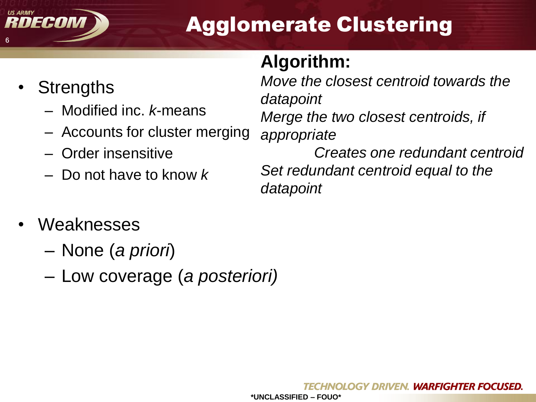

# Agglomerate Clustering

### **Algorithm:**

*datapoint*

- **Strengths** 
	- Modified inc. *k*-means
	- Accounts for cluster merging
	- Order insensitive
	- Do not have to know *k*

*Move the closest centroid towards the datapoint Merge the two closest centroids, if appropriate Creates one redundant centroid Set redundant centroid equal to the* 

- **Weaknesses** 
	- None (*a priori*)
	- Low coverage (*a posteriori)*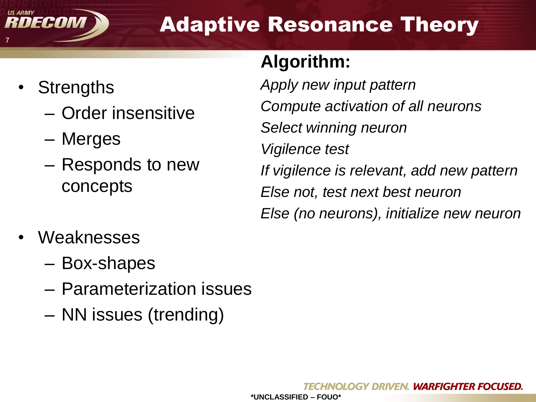

# Adaptive Resonance Theory

**Algorithm:**

- **Strengths** 
	- Order insensitive
	- Merges
	- Responds to new concepts

*Apply new input pattern Compute activation of all neurons Select winning neuron Vigilence test If vigilence is relevant, add new pattern Else not, test next best neuron Else (no neurons), initialize new neuron*

- Weaknesses
	- Box-shapes
	- Parameterization issues
	- NN issues (trending)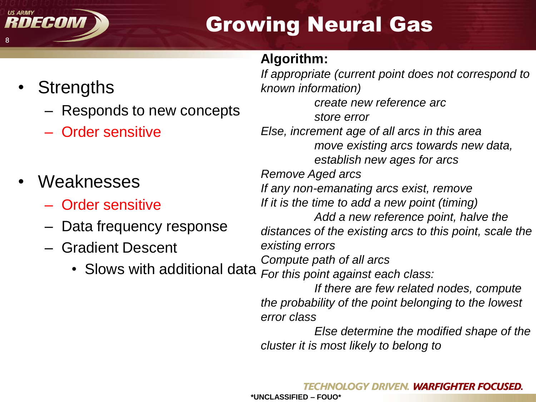

# Growing Neural Gas

#### **Algorithm:**

- **Strengths** 
	- Responds to new concepts
	- Order sensitive
- **Weaknesses** 
	- Order sensitive
	- Data frequency response
	- Gradient Descent
		- Slows with additional data

*If appropriate (current point does not correspond to known information) create new reference arc store error Else, increment age of all arcs in this area move existing arcs towards new data, establish new ages for arcs Remove Aged arcs If any non-emanating arcs exist, remove If it is the time to add a new point (timing) Add a new reference point, halve the distances of the existing arcs to this point, scale the existing errors Compute path of all arcs For this point against each class: If there are few related nodes, compute the probability of the point belonging to the lowest error class*

*Else determine the modified shape of the cluster it is most likely to belong to*

**\*UNCLASSIFIED – FOUO\***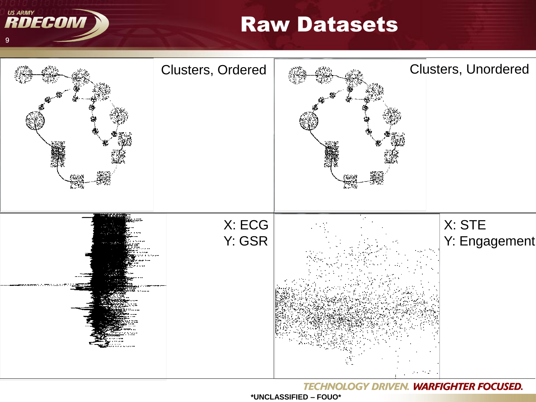**US ARMY** RDECOM

## **Raw Datasets**



**TECHNOLOGY DRIVEN. WARFIGHTER FOCUSED.**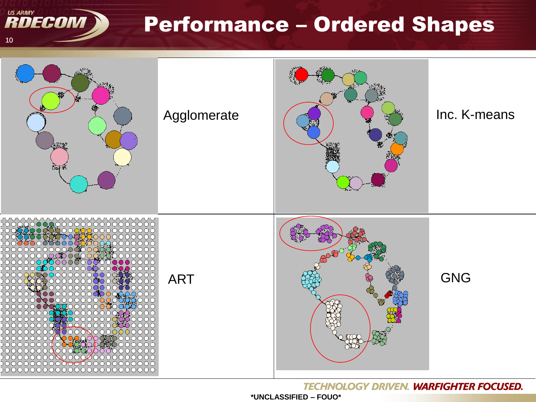**Performance - Ordered Shapes** 



**US ARMY** 

 $10$ 

RDECOM

**TECHNOLOGY DRIVEN. WARFIGHTER FOCUSED.** 

\*UNCLASSIFIED - FOUO\*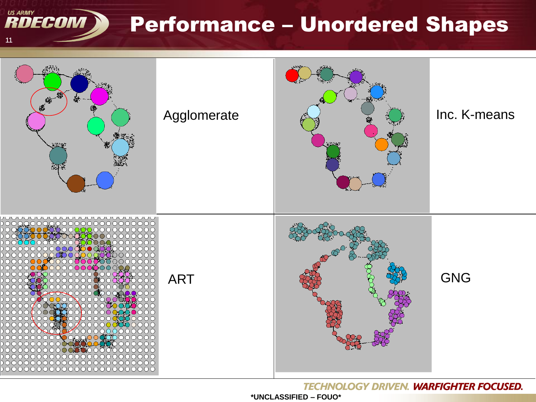**Performance - Unordered Shapes** 



**US ARMY** 

 $11$ 

RDECOM N

**TECHNOLOGY DRIVEN. WARFIGHTER FOCUSED.** 

\*UNCLASSIFIED - FOUO\*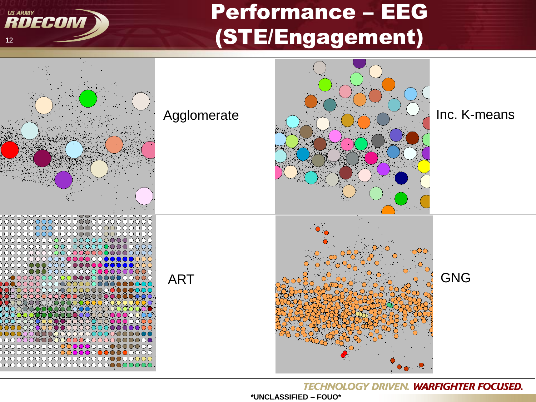# **Performance - EEG** (STE/Engagement)



**US ARMY** 

 $12$ 

RDECOM

**TECHNOLOGY DRIVEN. WARFIGHTER FOCUSED.**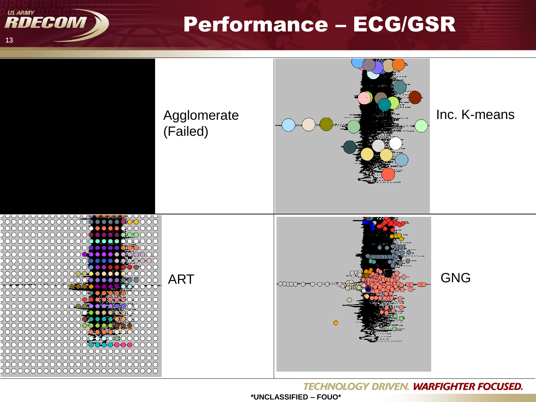

## **Performance - ECG/GSR**



**TECHNOLOGY DRIVEN. WARFIGHTER FOCUSED.**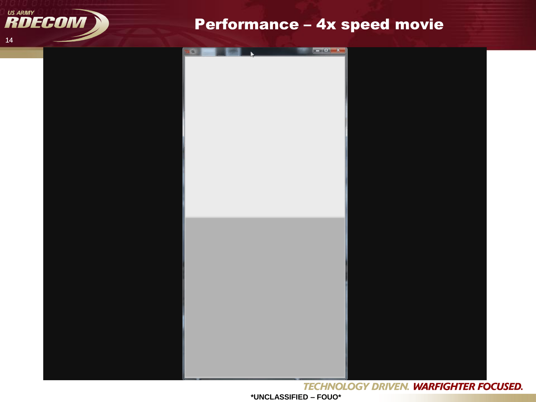

#### Performance - 4x speed movie

|  | tk |  |  |
|--|----|--|--|
|  |    |  |  |
|  |    |  |  |
|  |    |  |  |
|  |    |  |  |
|  |    |  |  |
|  |    |  |  |
|  |    |  |  |
|  |    |  |  |
|  |    |  |  |
|  |    |  |  |
|  |    |  |  |
|  |    |  |  |
|  |    |  |  |
|  |    |  |  |
|  |    |  |  |
|  |    |  |  |
|  |    |  |  |
|  |    |  |  |
|  |    |  |  |
|  |    |  |  |
|  |    |  |  |
|  |    |  |  |
|  |    |  |  |
|  |    |  |  |
|  |    |  |  |
|  |    |  |  |
|  |    |  |  |
|  |    |  |  |
|  |    |  |  |
|  |    |  |  |
|  |    |  |  |
|  |    |  |  |
|  |    |  |  |
|  |    |  |  |
|  |    |  |  |
|  |    |  |  |
|  |    |  |  |
|  |    |  |  |
|  |    |  |  |
|  |    |  |  |
|  |    |  |  |
|  |    |  |  |
|  |    |  |  |
|  |    |  |  |
|  |    |  |  |
|  |    |  |  |
|  |    |  |  |
|  |    |  |  |
|  |    |  |  |
|  |    |  |  |
|  |    |  |  |
|  |    |  |  |
|  |    |  |  |
|  |    |  |  |
|  |    |  |  |
|  |    |  |  |
|  |    |  |  |
|  |    |  |  |
|  |    |  |  |
|  |    |  |  |
|  |    |  |  |
|  |    |  |  |
|  |    |  |  |
|  |    |  |  |
|  |    |  |  |
|  |    |  |  |

**TECHNOLOGY DRIVEN. WARFIGHTER FOCUSED.** 

\*UNCLASSIFIED - FOUO\*